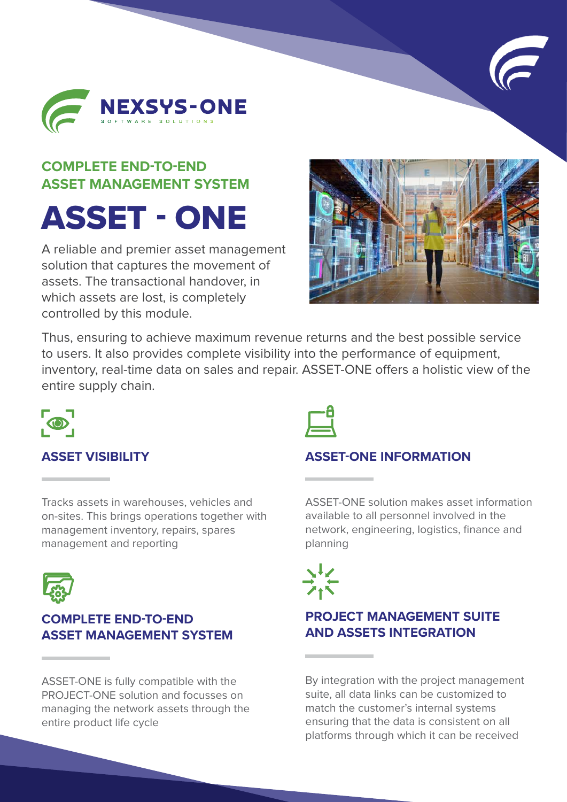



## **COMPLETE END-TO-END ASSET MANAGEMENT SYSTEM**

# ASSET - ONE

A reliable and premier asset management solution that captures the movement of assets. The transactional handover, in which assets are lost, is completely controlled by this module.



Thus, ensuring to achieve maximum revenue returns and the best possible service to users. It also provides complete visibility into the performance of equipment, inventory, real-time data on sales and repair. ASSET-ONE offers a holistic view of the entire supply chain.



#### **ASSET VISIBILITY**

Tracks assets in warehouses, vehicles and on-sites. This brings operations together with management inventory, repairs, spares management and reporting



#### **COMPLETE END-TO-END ASSET MANAGEMENT SYSTEM**

ASSET-ONE is fully compatible with the PROJECT-ONE solution and focusses on managing the network assets through the entire product life cycle



#### **ASSET-ONE INFORMATION**

ASSET-ONE solution makes asset information available to all personnel involved in the network, engineering, logistics, finance and planning

### **PROJECT MANAGEMENT SUITE AND ASSETS INTEGRATION**

By integration with the project management suite, all data links can be customized to match the customer's internal systems ensuring that the data is consistent on all platforms through which it can be received